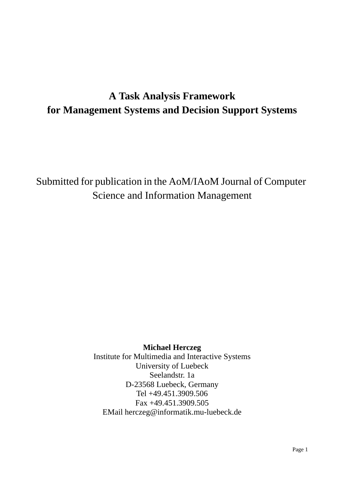# **A Task Analysis Framework for Management Systems and Decision Support Systems**

Submitted for publication in the AoM/IAoM Journal of Computer Science and Information Management

# **Michael Herczeg**

Institute for Multimedia and Interactive Systems University of Luebeck Seelandstr. 1a D-23568 Luebeck, Germany Tel +49.451.3909.506 Fax +49.451.3909.505 EMail herczeg@informatik.mu-luebeck.de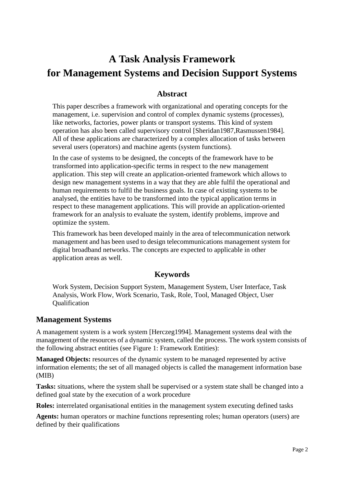# **A Task Analysis Framework for Management Systems and Decision Support Systems**

# **Abstract**

This paper describes a framework with organizational and operating concepts for the management, i.e. supervision and control of complex dynamic systems (processes), like networks, factories, power plants or transport systems. This kind of system operation has also been called supervisory control [Sheridan1987,Rasmussen1984]. All of these applications are characterized by a complex allocation of tasks between several users (operators) and machine agents (system functions).

In the case of systems to be designed, the concepts of the framework have to be transformed into application-specific terms in respect to the new management application. This step will create an application-oriented framework which allows to design new management systems in a way that they are able fulfil the operational and human requirements to fulfil the business goals. In case of existing systems to be analysed, the entities have to be transformed into the typical application terms in respect to these management applications. This will provide an application-oriented framework for an analysis to evaluate the system, identify problems, improve and optimize the system.

This framework has been developed mainly in the area of telecommunication network management and has been used to design telecommunications management system for digital broadband networks. The concepts are expected to applicable in other application areas as well.

# **Keywords**

Work System, Decision Support System, Management System, User Interface, Task Analysis, Work Flow, Work Scenario, Task, Role, Tool, Managed Object, User Qualification

# **Management Systems**

A management system is a work system [Herczeg1994]. Management systems deal with the management of the resources of a dynamic system, called the process. The work system consists of the following abstract entities (see Figure 1: Framework Entities):

**Managed Objects:** resources of the dynamic system to be managed represented by active information elements; the set of all managed objects is called the management information base (MIB)

**Tasks:** situations, where the system shall be supervised or a system state shall be changed into a defined goal state by the execution of a work procedure

**Roles:** interrelated organisational entities in the management system executing defined tasks

**Agents:** human operators or machine functions representing roles; human operators (users) are defined by their qualifications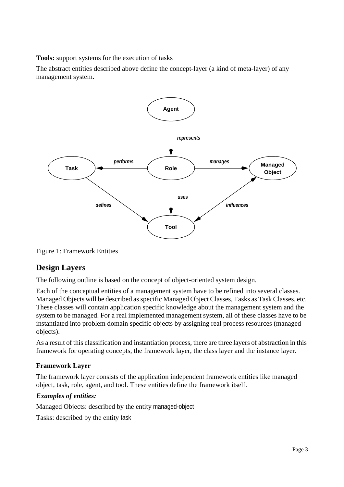**Tools:** support systems for the execution of tasks

The abstract entities described above define the concept-layer (a kind of meta-layer) of any management system.



Figure 1: Framework Entities

# **Design Layers**

The following outline is based on the concept of object-oriented system design.

Each of the conceptual entities of a management system have to be refined into several classes. Managed Objects will be described as specific Managed Object Classes, Tasks as Task Classes, etc. These classes will contain application specific knowledge about the management system and the system to be managed. For a real implemented management system, all of these classes have to be instantiated into problem domain specific objects by assigning real process resources (managed objects).

As a result of this classification and instantiation process, there are three layers of abstraction in this framework for operating concepts, the framework layer, the class layer and the instance layer.

# **Framework Layer**

The framework layer consists of the application independent framework entities like managed object, task, role, agent, and tool. These entities define the framework itself.

# *Examples of entities:*

Managed Objects: described by the entity managed-object

Tasks: described by the entity task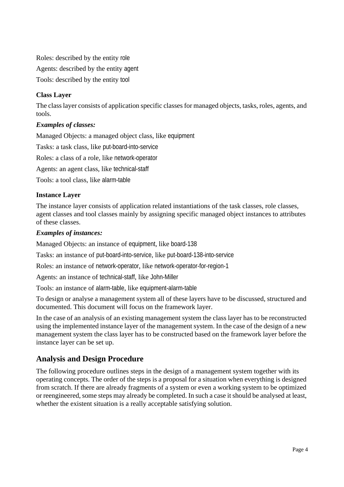Roles: described by the entity role Agents: described by the entity agent Tools: described by the entity tool

# **Class Layer**

The class layer consists of application specific classes for managed objects, tasks, roles, agents, and tools.

#### *Examples of classes:*

Managed Objects: a managed object class, like equipment

Tasks: a task class, like put-board-into-service

Roles: a class of a role, like network-operator

Agents: an agent class, like technical-staff

Tools: a tool class, like alarm-table

#### **Instance Layer**

The instance layer consists of application related instantiations of the task classes, role classes, agent classes and tool classes mainly by assigning specific managed object instances to attributes of these classes.

#### *Examples of instances:*

Managed Objects: an instance of equipment, like board-138

Tasks: an instance of put-board-into-service, like put-board-138-into-service

Roles: an instance of network-operator, like network-operator-for-region-1

Agents: an instance of technical-staff, like John-Miller

Tools: an instance of alarm-table, like equipment-alarm-table

To design or analyse a management system all of these layers have to be discussed, structured and documented. This document will focus on the framework layer.

In the case of an analysis of an existing management system the class layer has to be reconstructed using the implemented instance layer of the management system. In the case of the design of a new management system the class layer has to be constructed based on the framework layer before the instance layer can be set up.

# **Analysis and Design Procedure**

The following procedure outlines steps in the design of a management system together with its operating concepts. The order of the steps is a proposal for a situation when everything is designed from scratch. If there are already fragments of a system or even a working system to be optimized or reengineered, some steps may already be completed. In such a case it should be analysed at least, whether the existent situation is a really acceptable satisfying solution.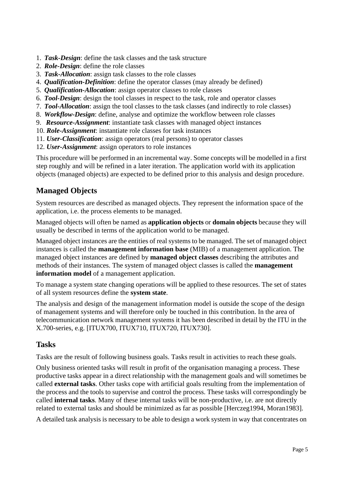- 1. *Task-Design*: define the task classes and the task structure
- 2. *Role-Design*: define the role classes
- 3. *Task-Allocation*: assign task classes to the role classes
- 4. *Qualification-Definition*: define the operator classes (may already be defined)
- 5. *Qualification-Allocation*: assign operator classes to role classes
- 6. *Tool-Design*: design the tool classes in respect to the task, role and operator classes
- 7. *Tool-Allocation*: assign the tool classes to the task classes (and indirectly to role classes)
- 8. *Workflow-Design*: define, analyse and optimize the workflow between role classes
- 9. *Resource-Assignment*: instantiate task classes with managed object instances
- 10. *Role-Assignment*: instantiate role classes for task instances
- 11. *User-Classification*: assign operators (real persons) to operator classes
- 12. *User-Assignment*: assign operators to role instances

This procedure will be performed in an incremental way. Some concepts will be modelled in a first step roughly and will be refined in a later iteration. The application world with its application objects (managed objects) are expected to be defined prior to this analysis and design procedure.

# **Managed Objects**

System resources are described as managed objects. They represent the information space of the application, i.e. the process elements to be managed.

Managed objects will often be named as **application objects** or **domain objects** because they will usually be described in terms of the application world to be managed.

Managed object instances are the entities of real systems to be managed. The set of managed object instances is called the **management information base** (MIB) of a management application. The managed object instances are defined by **managed object classes** describing the attributes and methods of their instances. The system of managed object classes is called the **management information model** of a management application.

To manage a system state changing operations will be applied to these resources. The set of states of all system resources define the **system state**.

The analysis and design of the management information model is outside the scope of the design of management systems and will therefore only be touched in this contribution. In the area of telecommunication network management systems it has been described in detail by the ITU in the X.700-series, e.g. [ITUX700, ITUX710, ITUX720, ITUX730].

# **Tasks**

Tasks are the result of following business goals. Tasks result in activities to reach these goals.

Only business oriented tasks will result in profit of the organisation managing a process. These productive tasks appear in a direct relationship with the management goals and will sometimes be called **external tasks**. Other tasks cope with artificial goals resulting from the implementation of the process and the tools to supervise and control the process. These tasks will correspondingly be called **internal tasks**. Many of these internal tasks will be non-productive, i.e. are not directly related to external tasks and should be minimized as far as possible [Herczeg1994, Moran1983].

A detailed task analysis is necessary to be able to design a work system in way that concentrates on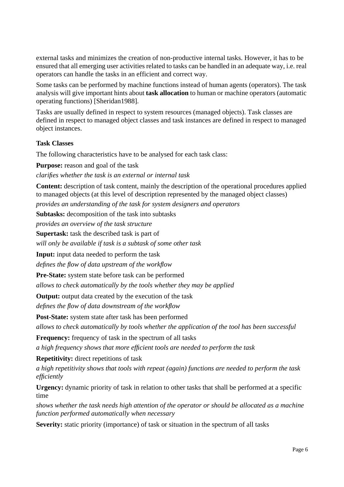external tasks and minimizes the creation of non-productive internal tasks. However, it has to be ensured that all emerging user activities related to tasks can be handled in an adequate way, i.e. real operators can handle the tasks in an efficient and correct way.

Some tasks can be performed by machine functions instead of human agents (operators). The task analysis will give important hints about **task allocation** to human or machine operators (automatic operating functions) [Sheridan1988].

Tasks are usually defined in respect to system resources (managed objects). Task classes are defined in respect to managed object classes and task instances are defined in respect to managed object instances.

#### **Task Classes**

The following characteristics have to be analysed for each task class:

**Purpose:** reason and goal of the task

*clarifies whether the task is an external or internal task*

**Content:** description of task content, mainly the description of the operational procedures applied to managed objects (at this level of description represented by the managed object classes)

*provides an understanding of the task for system designers and operators*

**Subtasks:** decomposition of the task into subtasks

*provides an overview of the task structure*

**Supertask:** task the described task is part of

*will only be available if task is a subtask of some other task*

**Input:** input data needed to perform the task

*defines the flow of data upstream of the workflow*

**Pre-State:** system state before task can be performed

*allows to check automatically by the tools whether they may be applied*

**Output:** output data created by the execution of the task

*defines the flow of data downstream of the workflow*

**Post-State:** system state after task has been performed

*allows to check automatically by tools whether the application of the tool has been successful*

**Frequency:** frequency of task in the spectrum of all tasks

*a high frequency shows that more efficient tools are needed to perform the task*

**Repetitivity:** direct repetitions of task

*a high repetitivity shows that tools with repeat (again) functions are needed to perform the task efficiently*

**Urgency:** dynamic priority of task in relation to other tasks that shall be performed at a specific time

*shows whether the task needs high attention of the operator or should be allocated as a machine function performed automatically when necessary*

**Severity:** static priority (importance) of task or situation in the spectrum of all tasks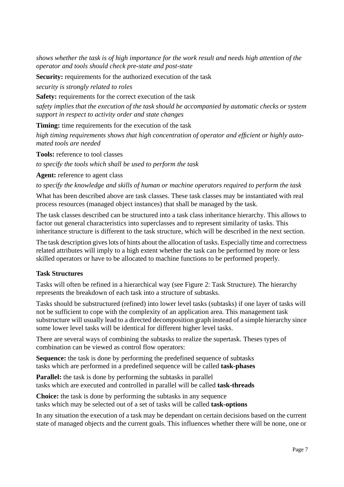*shows whether the task is of high importance for the work result and needs high attention of the operator and tools should check pre-state and post-state*

**Security:** requirements for the authorized execution of the task

*security is strongly related to roles*

**Safety:** requirements for the correct execution of the task

*safety implies that the execution of the task should be accompanied by automatic checks or system support in respect to activity order and state changes*

**Timing:** time requirements for the execution of the task

*high timing requirements shows that high concentration of operator and efficient or highly automated tools are needed*

**Tools:** reference to tool classes

*to specify the tools which shall be used to perform the task*

**Agent:** reference to agent class

*to specify the knowledge and skills of human or machine operators required to perform the task*

What has been described above are task classes. These task classes may be instantiated with real process resources (managed object instances) that shall be managed by the task.

The task classes described can be structured into a task class inheritance hierarchy. This allows to factor out general characteristics into superclasses and to represent similarity of tasks. This inheritance structure is different to the task structure, which will be described in the next section.

The task description gives lots of hints about the allocation of tasks. Especially time and correctness related attributes will imply to a high extent whether the task can be performed by more or less skilled operators or have to be allocated to machine functions to be performed properly.

#### **Task Structures**

Tasks will often be refined in a hierarchical way (see Figure 2: Task Structure). The hierarchy represents the breakdown of each task into a structure of subtasks.

Tasks should be substructured (refined) into lower level tasks (subtasks) if one layer of tasks will not be sufficient to cope with the complexity of an application area. This management task substructure will usually lead to a directed decomposition graph instead of a simple hierarchy since some lower level tasks will be identical for different higher level tasks.

There are several ways of combining the subtasks to realize the supertask. Theses types of combination can be viewed as control flow operators:

**Sequence:** the task is done by performing the predefined sequence of subtasks tasks which are performed in a predefined sequence will be called **task-phases**

**Parallel:** the task is done by performing the subtasks in parallel tasks which are executed and controlled in parallel will be called **task-threads**

**Choice:** the task is done by performing the subtasks in any sequence tasks which may be selected out of a set of tasks will be called **task-options**

In any situation the execution of a task may be dependant on certain decisions based on the current state of managed objects and the current goals. This influences whether there will be none, one or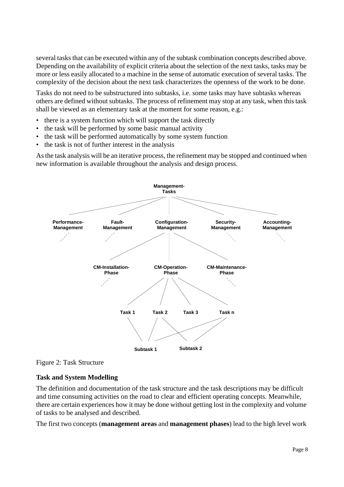several tasks that can be executed within any of the subtask combination concepts described above. Depending on the availability of explicit criteria about the selection of the next tasks, tasks may be more or less easily allocated to a machine in the sense of automatic execution of several tasks. The complexity of the decision about the next task characterizes the openness of the work to be done.

Tasks do not need to be substructured into subtasks, i.e. some tasks may have subtasks whereas others are defined without subtasks. The process of refinement may stop at any task, when this task shall be viewed as an elementary task at the moment for some reason, e.g.:

- there is a system function which will support the task directly
- the task will be performed by some basic manual activity
- the task will be performed automatically by some system function
- the task is not of further interest in the analysis

As the task analysis will be an iterative process, the refinement may be stopped and continued when new information is available throughout the analysis and design process.



Figure 2: Task Structure

#### **Task and System Modelling**

The definition and documentation of the task structure and the task descriptions may be difficult and time consuming activities on the road to clear and efficient operating concepts. Meanwhile, there are certain experiences how it may be done without getting lost in the complexity and volume of tasks to be analysed and described.

The first two concepts (**management areas** and **management phases**) lead to the high level work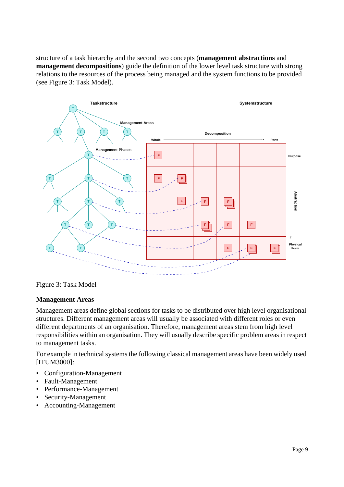structure of a task hierarchy and the second two concepts (**management abstractions** and **management decompositions**) guide the definition of the lower level task structure with strong relations to the resources of the process being managed and the system functions to be provided (see Figure 3: Task Model).



Figure 3: Task Model

#### **Management Areas**

Management areas define global sections for tasks to be distributed over high level organisational structures. Different management areas will usually be associated with different roles or even different departments of an organisation. Therefore, management areas stem from high level responsibilities within an organisation. They will usually describe specific problem areas in respect to management tasks.

For example in technical systems the following classical management areas have been widely used [ITUM3000]:

- Configuration-Management
- Fault-Management
- Performance-Management
- Security-Management
- Accounting-Management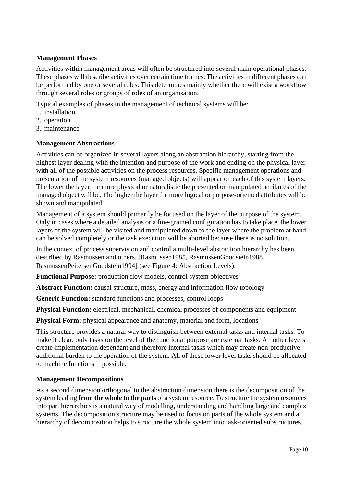### **Management Phases**

Activities within management areas will often be structured into several main operational phases. These phases will describe activities over certain time frames. The activities in different phases can be performed by one or several roles. This determines mainly whether there will exist a workflow through several roles or groups of roles of an organisation.

Typical examples of phases in the management of technical systems will be:

- 1. installation
- 2. operation
- 3. maintenance

#### **Management Abstractions**

Activities can be organized in several layers along an abstraction hierarchy, starting from the highest layer dealing with the intention and purpose of the work and ending on the physical layer with all of the possible activities on the process resources. Specific management operations and presentation of the system resources (managed objects) will appear on each of this system layers. The lower the layer the more physical or naturalistic the presented or manipulated attributes of the managed object will be. The higher the layer the more logical or purpose-oriented attributes will be shown and manipulated.

Management of a system should primarily be focused on the layer of the purpose of the system. Only in cases where a detailed analysis or a fine-grained configuration has to take place, the lower layers of the system will be visited and manipulated down to the layer where the problem at hand can be solved completely or the task execution will be aborted because there is no solution.

In the context of process supervision and control a multi-level abstraction hierarchy has been described by Rasmussen and others. [Rasmussen1985, RasmussenGoodstein1988, RasmussenPeitersenGoodstein1994] (see Figure 4: Abstraction Levels):

**Functional Purpose:** production flow models, control system objectives

**Abstract Function:** causal structure, mass, energy and information flow topology

**Generic Function:** standard functions and processes, control loops

**Physical Function:** electrical, mechanical, chemical processes of components and equipment

**Physical Form:** physical appearance and anatomy, material and form, locations

This structure provides a natural way to distinguish between external tasks and internal tasks. To make it clear, only tasks on the level of the functional purpose are external tasks. All other layers create implementation dependant and therefore internal tasks which may create non-productive additional burden to the operation of the system. All of these lower level tasks should be allocated to machine functions if possible.

#### **Management Decompositions**

As a second dimension orthogonal to the abstraction dimension there is the decomposition of the system leading **from the whole to the parts** of a system resource. To structure the system resources into part hierarchies is a natural way of modelling, understanding and handling large and complex systems. The decomposition structure may be used to focus on parts of the whole system and a hierarchy of decomposition helps to structure the whole system into task-oriented substructures.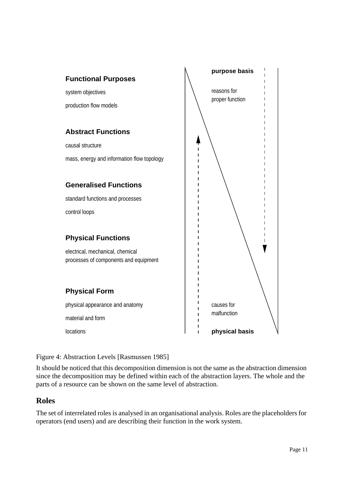

# Figure 4: Abstraction Levels [Rasmussen 1985]

It should be noticed that this decomposition dimension is not the same as the abstraction dimension since the decomposition may be defined within each of the abstraction layers. The whole and the parts of a resource can be shown on the same level of abstraction.

# **Roles**

The set of interrelated roles is analysed in an organisational analysis. Roles are the placeholders for operators (end users) and are describing their function in the work system.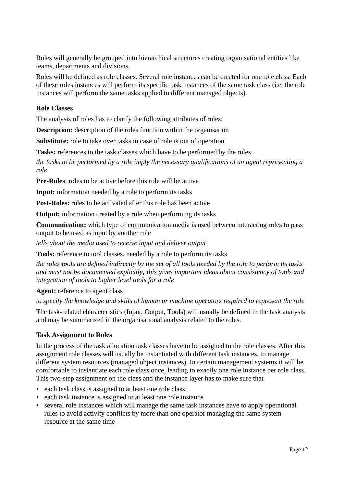Roles will generally be grouped into hierarchical structures creating organisational entities like teams, departments and divisions.

Roles will be defined as role classes. Several role instances can be created for one role class. Each of these roles instances will perform its specific task instances of the same task class (i.e. the role instances will perform the same tasks applied to different managed objects).

#### **Role Classes**

The analysis of roles has to clarify the following attributes of roles:

**Description:** description of the roles function within the organisation

**Substitute:** role to take over tasks in case of role is out of operation

**Tasks:** references to the task classes which have to be performed by the roles

*the tasks to be performed by a role imply the necessary qualifications of an agent representing a role*

**Pre-Roles**: roles to be active before this role will be active

**Input:** information needed by a role to perform its tasks

**Post-Roles:** roles to be activated after this role has been active

**Output:** information created by a role when performing its tasks

**Communication:** which type of communication media is used between interacting roles to pass output to be used as input by another role

*tells about the media used to receive input and deliver output*

**Tools:** reference to tool classes, needed by a role to perform its tasks

*the roles tools are defined indirectly by the set of all tools needed by the role to perform its tasks and must not be documented explicitly; this gives important ideas about consistency of tools and integration of tools to higher level tools for a role*

**Agent:** reference to agent class

*to specify the knowledge and skills of human or machine operators required to represent the role*

The task-related characteristics (Input, Output, Tools) will usually be defined in the task analysis and may be summarized in the organisational analysis related to the roles.

#### **Task Assignment to Roles**

In the process of the task allocation task classes have to be assigned to the role classes. After this assignment role classes will usually be instantiated with different task instances, to manage different system resources (managed object instances). In certain management systems it will be comfortable to instantiate each role class once, leading to exactly one role instance per role class. This two-step assignment on the class and the instance layer has to make sure that

- each task class is assigned to at least one role class
- each task instance is assigned to at least one role instance
- several role instances which will manage the same task instances have to apply operational rules to avoid activity conflicts by more than one operator managing the same system resource at the same time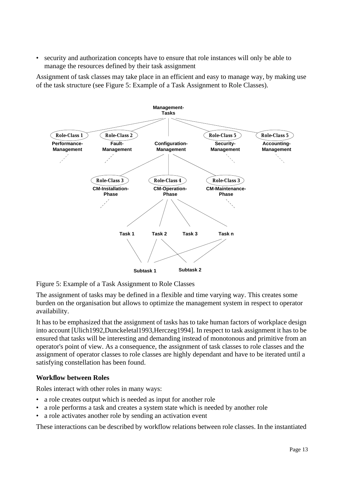• security and authorization concepts have to ensure that role instances will only be able to manage the resources defined by their task assignment

Assignment of task classes may take place in an efficient and easy to manage way, by making use of the task structure (see Figure 5: Example of a Task Assignment to Role Classes).



Figure 5: Example of a Task Assignment to Role Classes

The assignment of tasks may be defined in a flexible and time varying way. This creates some burden on the organisation but allows to optimize the management system in respect to operator availability.

It has to be emphasized that the assignment of tasks has to take human factors of workplace design into account [Ulich1992,Dunckeletal1993,Herczeg1994]. In respect to task assignment it has to be ensured that tasks will be interesting and demanding instead of monotonous and primitive from an operator's point of view. As a consequence, the assignment of task classes to role classes and the assignment of operator classes to role classes are highly dependant and have to be iterated until a satisfying constellation has been found.

# **Workflow between Roles**

Roles interact with other roles in many ways:

- a role creates output which is needed as input for another role
- a role performs a task and creates a system state which is needed by another role
- a role activates another role by sending an activation event

These interactions can be described by workflow relations between role classes. In the instantiated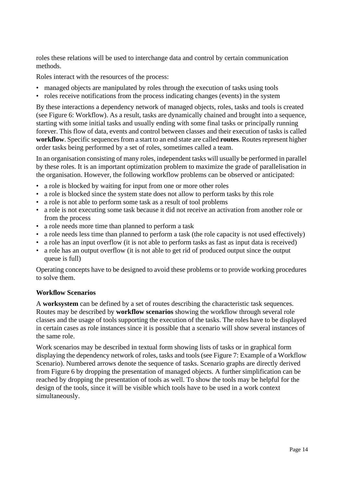roles these relations will be used to interchange data and control by certain communication methods.

Roles interact with the resources of the process:

- managed objects are manipulated by roles through the execution of tasks using tools
- roles receive notifications from the process indicating changes (events) in the system

By these interactions a dependency network of managed objects, roles, tasks and tools is created (see Figure 6: Workflow). As a result, tasks are dynamically chained and brought into a sequence, starting with some initial tasks and usually ending with some final tasks or principally running forever. This flow of data, events and control between classes and their execution of tasks is called **workflow**. Specific sequences from a start to an end state are called **routes**. Routes represent higher order tasks being performed by a set of roles, sometimes called a team.

In an organisation consisting of many roles, independent tasks will usually be performed in parallel by these roles. It is an important optimization problem to maximize the grade of parallelisation in the organisation. However, the following workflow problems can be observed or anticipated:

- a role is blocked by waiting for input from one or more other roles
- a role is blocked since the system state does not allow to perform tasks by this role
- a role is not able to perform some task as a result of tool problems
- a role is not executing some task because it did not receive an activation from another role or from the process
- a role needs more time than planned to perform a task
- a role needs less time than planned to perform a task (the role capacity is not used effectively)
- a role has an input overflow (it is not able to perform tasks as fast as input data is received)
- a role has an output overflow (it is not able to get rid of produced output since the output queue is full)

Operating concepts have to be designed to avoid these problems or to provide working procedures to solve them.

#### **Workflow Scenarios**

A **worksystem** can be defined by a set of routes describing the characteristic task sequences. Routes may be described by **workflow scenarios** showing the workflow through several role classes and the usage of tools supporting the execution of the tasks. The roles have to be displayed in certain cases as role instances since it is possible that a scenario will show several instances of the same role.

Work scenarios may be described in textual form showing lists of tasks or in graphical form displaying the dependency network of roles, tasks and tools (see Figure 7: Example of a Workflow Scenario). Numbered arrows denote the sequence of tasks. Scenario graphs are directly derived from Figure 6 by dropping the presentation of managed objects. A further simplification can be reached by dropping the presentation of tools as well. To show the tools may be helpful for the design of the tools, since it will be visible which tools have to be used in a work context simultaneously.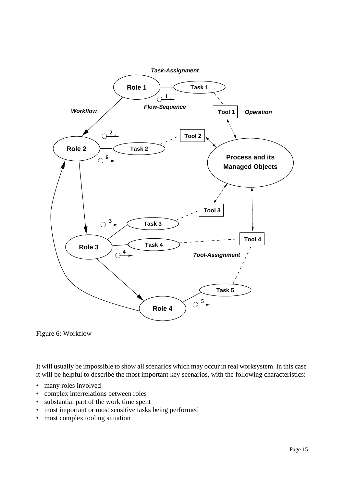

Figure 6: Workflow

It will usually be impossible to show all scenarios which may occur in real worksystem. In this case it will be helpful to describe the most important key scenarios, with the following characteristics:

- many roles involved
- complex interrelations between roles
- substantial part of the work time spent
- most important or most sensitive tasks being performed
- most complex tooling situation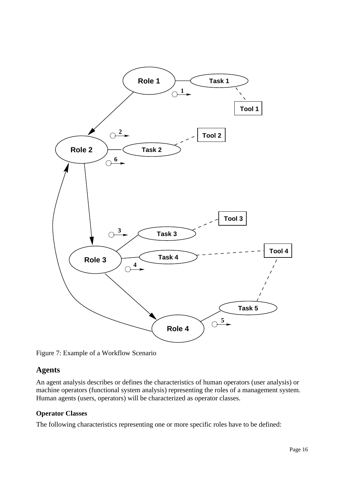

Figure 7: Example of a Workflow Scenario

# **Agents**

An agent analysis describes or defines the characteristics of human operators (user analysis) or machine operators (functional system analysis) representing the roles of a management system. Human agents (users, operators) will be characterized as operator classes.

# **Operator Classes**

The following characteristics representing one or more specific roles have to be defined: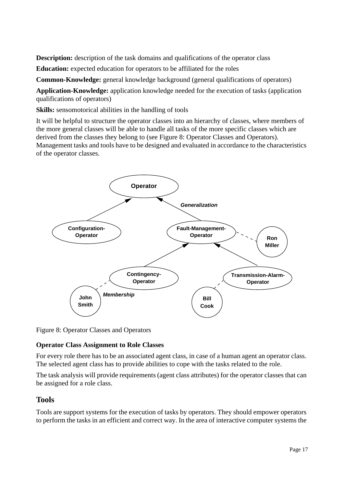**Description:** description of the task domains and qualifications of the operator class

**Education:** expected education for operators to be affiliated for the roles

**Common-Knowledge:** general knowledge background (general qualifications of operators)

**Application-Knowledge:** application knowledge needed for the execution of tasks (application qualifications of operators)

**Skills:** sensomotorical abilities in the handling of tools

It will be helpful to structure the operator classes into an hierarchy of classes, where members of the more general classes will be able to handle all tasks of the more specific classes which are derived from the classes they belong to (see Figure 8: Operator Classes and Operators). Management tasks and tools have to be designed and evaluated in accordance to the characteristics of the operator classes.



Figure 8: Operator Classes and Operators

# **Operator Class Assignment to Role Classes**

For every role there has to be an associated agent class, in case of a human agent an operator class. The selected agent class has to provide abilities to cope with the tasks related to the role.

The task analysis will provide requirements (agent class attributes) for the operator classes that can be assigned for a role class.

# **Tools**

Tools are support systems for the execution of tasks by operators. They should empower operators to perform the tasks in an efficient and correct way. In the area of interactive computer systems the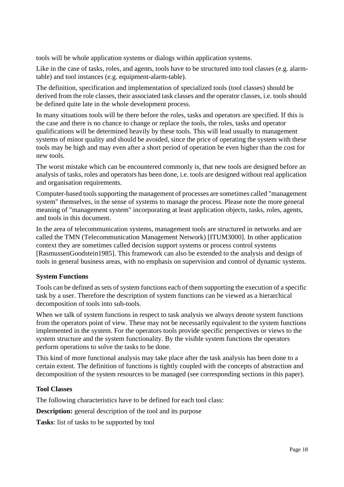tools will be whole application systems or dialogs within application systems.

Like in the case of tasks, roles, and agents, tools have to be structured into tool classes (e.g. alarmtable) and tool instances (e.g. equipment-alarm-table).

The definition, specification and implementation of specialized tools (tool classes) should be derived from the role classes, their associated task classes and the operator classes, i.e. tools should be defined quite late in the whole development process.

In many situations tools will be there before the roles, tasks and operators are specified. If this is the case and there is no chance to change or replace the tools, the roles, tasks and operator qualifications will be determined heavily by these tools. This will lead usually to management systems of minor quality and should be avoided, since the price of operating the system with these tools may be high and may even after a short period of operation be even higher than the cost for new tools.

The worst mistake which can be encountered commonly is, that new tools are designed before an analysis of tasks, roles and operators has been done, i.e. tools are designed without real application and organisation requirements.

Computer-based tools supporting the management of processes are sometimes called "management system" themselves, in the sense of systems to manage the process. Please note the more general meaning of "management system" incorporating at least application objects, tasks, roles, agents, and tools in this document.

In the area of telecommunication systems, management tools are structured in networks and are called the TMN (Telecommunication Management Network) [ITUM3000]. In other application context they are sometimes called decision support systems or process control systems [RasmussenGoodstein1985]. This framework can also be extended to the analysis and design of tools in general business areas, with no emphasis on supervision and control of dynamic systems.

# **System Functions**

Tools can be defined as sets of system functions each of them supporting the execution of a specific task by a user. Therefore the description of system functions can be viewed as a hierarchical decomposition of tools into sub-tools.

When we talk of system functions in respect to task analysis we always denote system functions from the operators point of view. These may not be necessarily equivalent to the system functions implemented in the system. For the operators tools provide specific perspectives or views to the system structure and the system functionality. By the visible system functions the operators perform operations to solve the tasks to be done.

This kind of more functional analysis may take place after the task analysis has been done to a certain extent. The definition of functions is tightly coupled with the concepts of abstraction and decomposition of the system resources to be managed (see corresponding sections in this paper).

#### **Tool Classes**

The following characteristics have to be defined for each tool class:

**Description:** general description of the tool and its purpose

**Tasks**: list of tasks to be supported by tool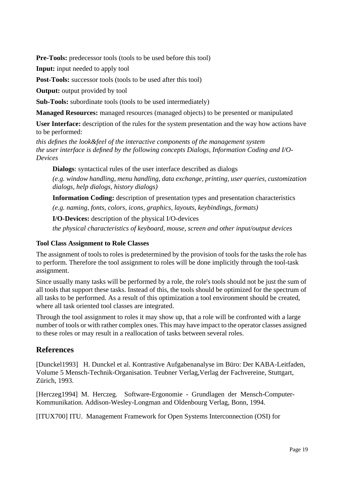**Pre-Tools:** predecessor tools (tools to be used before this tool)

**Input:** input needed to apply tool

**Post-Tools:** successor tools (tools to be used after this tool)

**Output:** output provided by tool

**Sub-Tools:** subordinate tools (tools to be used intermediately)

**Managed Resources:** managed resources (managed objects) to be presented or manipulated

**User Interface:** description of the rules for the system presentation and the way how actions have to be performed:

*this defines the look&feel of the interactive components of the management system the user interface is defined by the following concepts Dialogs, Information Coding and I/O-Devices*

**Dialogs**: syntactical rules of the user interface described as dialogs

*(e.g. window handling, menu handling, data exchange, printing, user queries, customization dialogs, help dialogs, history dialogs)*

**Information Coding:** description of presentation types and presentation characteristics

*(e.g. naming, fonts, colors, icons, graphics, layouts, keybindings, formats)*

**I/O-Devices:** description of the physical I/O-devices

*the physical characteristics of keyboard, mouse, screen and other input/output devices*

#### **Tool Class Assignment to Role Classes**

The assignment of tools to roles is predetermined by the provision of tools for the tasks the role has to perform. Therefore the tool assignment to roles will be done implicitly through the tool-task assignment.

Since usually many tasks will be performed by a role, the role's tools should not be just the sum of all tools that support these tasks. Instead of this, the tools should be optimized for the spectrum of all tasks to be performed. As a result of this optimization a tool environment should be created, where all task oriented tool classes are integrated.

Through the tool assignment to roles it may show up, that a role will be confronted with a large number of tools or with rather complex ones. This may have impact to the operator classes assigned to these roles or may result in a reallocation of tasks between several roles.

# **References**

[Dunckel1993] H. Dunckel et al. Kontrastive Aufgabenanalyse im Büro: Der KABA-Leitfaden, Volume 5 Mensch-Technik-Organisation. Teubner Verlag,Verlag der Fachvereine, Stuttgart, Zürich, 1993.

[Herczeg1994] M. Herczeg. Software-Ergonomie - Grundlagen der Mensch-Computer-Kommunikation. Addison-Wesley-Longman and Oldenbourg Verlag, Bonn, 1994.

[ITUX700] ITU. Management Framework for Open Systems Interconnection (OSI) for